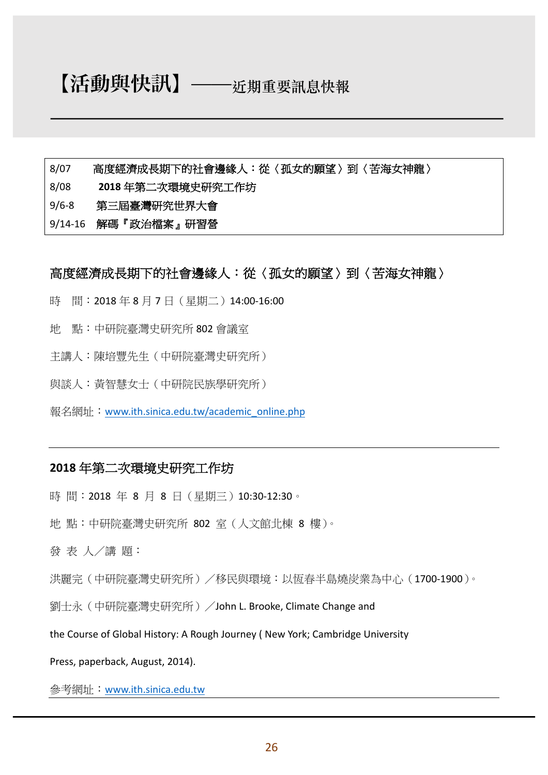# 【活動與快訊】̶̶**近期重要訊息快報**

- 8/07 高度經濟成長期下的社會邊緣人:從〈孤女的願望〉到〈苦海女神龍〉
- 8/08 **2018** 年第二次環境史研究工作坊
- 9/6-8 第三屆臺灣研究世界大會
- 9/14-16 解碼『政治檔案』研習營

### 高度經濟成長期下的社會邊緣人:從〈孤女的願望〉到〈苦海女神龍〉

- 時 間: 2018年8月7日(星期二) 14:00-16:00
- 地 點:中研院臺灣史研究所 802 會議室
- 主講人:陳培豐先生(中研院臺灣史研究所)
- 與談人:黃智慧女士(中研院民族學研究所)
- 報名網址:www.ith.sinica.edu.tw/academic\_online.php

#### **2018** 年第二次環境史研究工作坊

- 時間: 2018年8月8日 (星期三) 10:30-12:30。
- 地點:中研院臺灣史研究所 802 室(人文館北棟 8 樓)。
- 發 表 人/講 題:

洪麗完(中研院臺灣史研究所)/移民與環境:以恆春半島燒炭業為中心(1700-1900)。

劉士永(中研院臺灣史研究所) /John L. Brooke, Climate Change and

the Course of Global History: A Rough Journey (New York; Cambridge University

Press, paperback, August, 2014).

參考網址:www.ith.sinica.edu.tw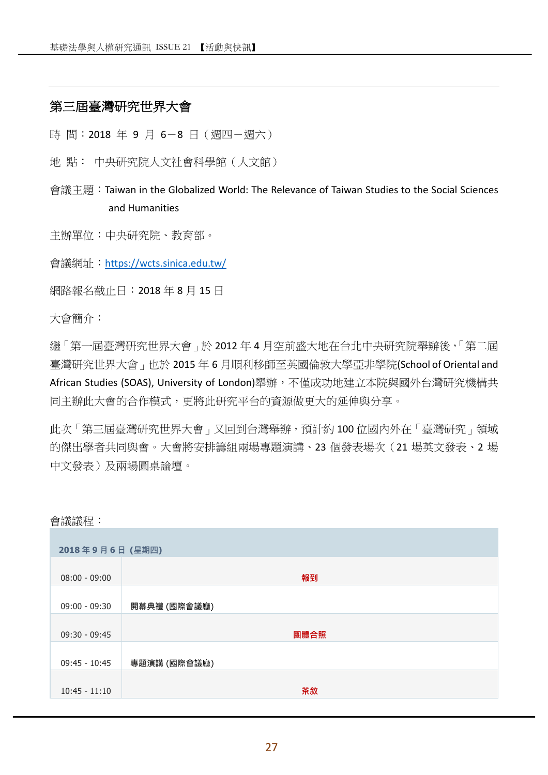## 第三屆臺灣研究世界大會

時 間: 2018 年 9 月 6-8 日 (週四-週六)

地 點: 中央研究院人文社會科學館(人文館)

會議主題: Taiwan in the Globalized World: The Relevance of Taiwan Studies to the Social Sciences and Humanities

主辦單位:中央研究院、教育部。

會議網址:https://wcts.sinica.edu.tw/

網路報名截止日:2018 年 8 月 15 日

大會簡介:

繼「第一屆臺灣研究世界大會」於 2012 年 4 月空前盛大地在台北中央研究院舉辦後,「第二屆 臺灣研究世界大會」也於 2015 年 6 月順利移師至英國倫敦大學亞非學院(School of Oriental and African Studies (SOAS), University of London)舉辦, 不僅成功地建立本院與國外台灣研究機構共 同主辦此大會的合作模式,更將此研究平台的資源做更大的延伸與分享。

此次「第三屆臺灣研究世界大會」又回到台灣舉辦,預計約 100 位國內外在「臺灣研究」領域 的傑出學者共同與會。大會將安排籌組兩場專題演講、23 個發表場次(21 場英文發表、2 場 中文發表)及兩場圓桌論壇。

會議議程:

| 2018年9月6日 (星期四) |              |  |
|-----------------|--------------|--|
| $08:00 - 09:00$ | 報到           |  |
| $09:00 - 09:30$ | 開幕典禮 (國際會議廳) |  |
| $09:30 - 09:45$ | 團體合照         |  |
| $09:45 - 10:45$ | 專題演講 (國際會議廳) |  |
| $10:45 - 11:10$ | 茶敘           |  |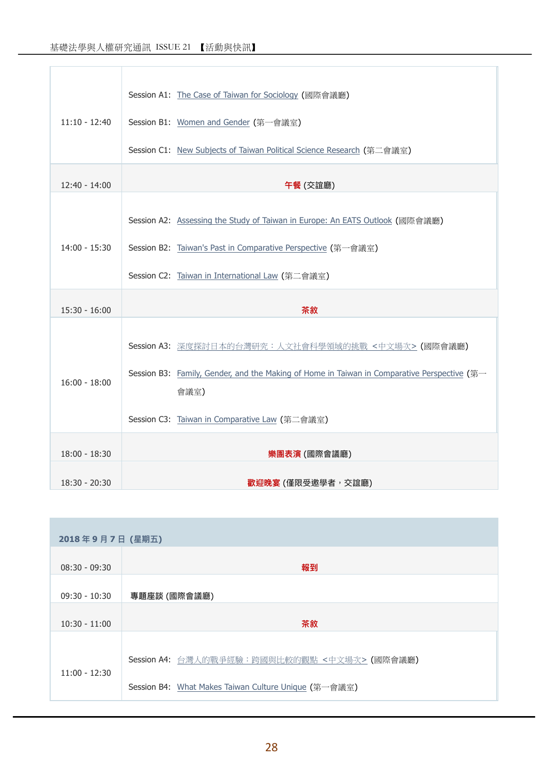| $11:10 - 12:40$ | Session A1: The Case of Taiwan for Sociology (國際會議廳)<br>Session B1: Women and Gender (第一會議室)                                                                                                    |
|-----------------|-------------------------------------------------------------------------------------------------------------------------------------------------------------------------------------------------|
|                 | Session C1: New Subjects of Taiwan Political Science Research (第二會議室)                                                                                                                           |
| $12:40 - 14:00$ | 午餐 (交誼廳)                                                                                                                                                                                        |
| $14:00 - 15:30$ | Session A2: Assessing the Study of Taiwan in Europe: An EATS Outlook (國際會議廳)<br>Session B2: Taiwan's Past in Comparative Perspective (第一會議室)<br>Session C2: Taiwan in International Law (第二會議室) |
|                 |                                                                                                                                                                                                 |
| $15:30 - 16:00$ | 茶敘                                                                                                                                                                                              |
| $16:00 - 18:00$ | Session A3: 深度探討日本的台灣研究:人文社會科學領域的挑戰 <中文場次> (國際會議廳)<br>Session B3: Family, Gender, and the Making of Home in Taiwan in Comparative Perspective (第一<br>會議室)                                       |
|                 | Session C3: Taiwan in Comparative Law (第二會議室)                                                                                                                                                   |
| $18:00 - 18:30$ | 樂團表演 (國際會議廳)                                                                                                                                                                                    |
| $18:30 - 20:30$ | <b>歡迎晚宴</b> (僅限受邀學者,交誼廳)                                                                                                                                                                        |

| 2018年9月7日 (星期五) |                                                      |  |
|-----------------|------------------------------------------------------|--|
| $08:30 - 09:30$ | 報到                                                   |  |
| $09:30 - 10:30$ | 專題座談 (國際會議廳)                                         |  |
| $10:30 - 11:00$ | 茶敘                                                   |  |
|                 | Session A4: 台灣人的戰爭經驗:跨國與比較的觀點 <中文場次> (國際會議廳)         |  |
| $11:00 - 12:30$ | Session B4: What Makes Taiwan Culture Unique (第一會議室) |  |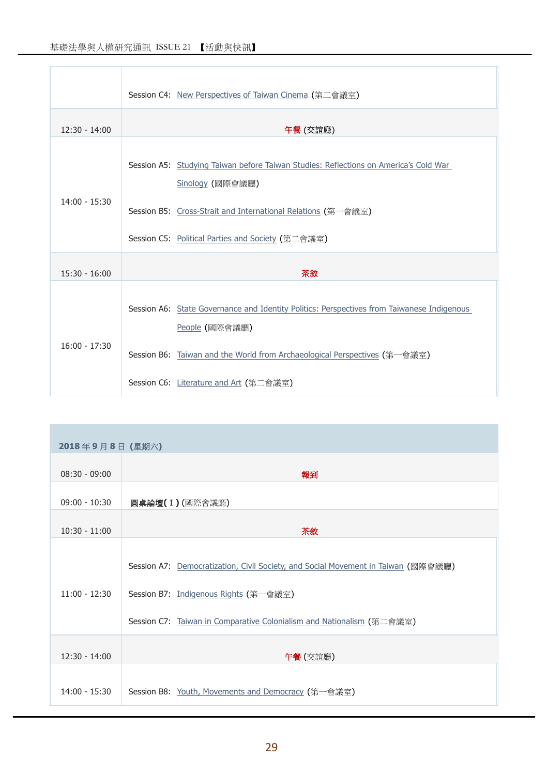Ï

|                 | Session C4: New Perspectives of Taiwan Cinema (第二會議室)                                                                                                                                                                         |
|-----------------|-------------------------------------------------------------------------------------------------------------------------------------------------------------------------------------------------------------------------------|
| $12:30 - 14:00$ | 午餐 (交誼廳)                                                                                                                                                                                                                      |
| $14:00 - 15:30$ | Session A5: Studying Taiwan before Taiwan Studies: Reflections on America's Cold War<br>Sinology (國際會議廳)<br>Session B5: Cross-Strait and International Relations (第一會議室)<br>Session C5: Political Parties and Society (第二會議室) |
| $15:30 - 16:00$ | 茶敘                                                                                                                                                                                                                            |
| $16:00 - 17:30$ | Session A6: State Governance and Identity Politics: Perspectives from Taiwanese Indigenous<br>People (國際會議廳)                                                                                                                  |
|                 | Session B6: Taiwan and the World from Archaeological Perspectives (第一會議室)                                                                                                                                                     |
|                 | Session C6: Literature and Art (第二會議室)                                                                                                                                                                                        |

| 2018年9月8日 (星期六) |                                                                                                                                                                                                     |
|-----------------|-----------------------------------------------------------------------------------------------------------------------------------------------------------------------------------------------------|
| $08:30 - 09:00$ | 報到                                                                                                                                                                                                  |
| $09:00 - 10:30$ | 圓桌論壇(I)(國際會議廳)                                                                                                                                                                                      |
| $10:30 - 11:00$ | 茶敘                                                                                                                                                                                                  |
| $11:00 - 12:30$ | Session A7: Democratization, Civil Society, and Social Movement in Taiwan (國際會議廳)<br>Session B7: Indigenous Rights (第一會議室)<br>Session C7: Taiwan in Comparative Colonialism and Nationalism (第二會議室) |
| $12:30 - 14:00$ | 午餐 (交誼廳)                                                                                                                                                                                            |
| $14:00 - 15:30$ | Session B8: Youth, Movements and Democracy (第一會議室)                                                                                                                                                  |